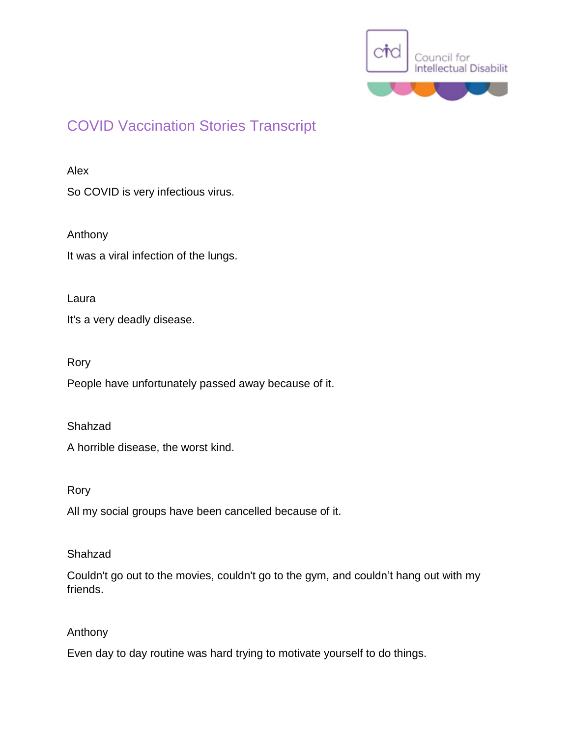

# COVID Vaccination Stories Transcript

# Alex

So COVID is very infectious virus.

Anthony It was a viral infection of the lungs.

Laura

It's a very deadly disease.

Rory

People have unfortunately passed away because of it.

Shahzad

A horrible disease, the worst kind.

Rory

All my social groups have been cancelled because of it.

# Shahzad

Couldn't go out to the movies, couldn't go to the gym, and couldn't hang out with my friends.

# Anthony

Even day to day routine was hard trying to motivate yourself to do things.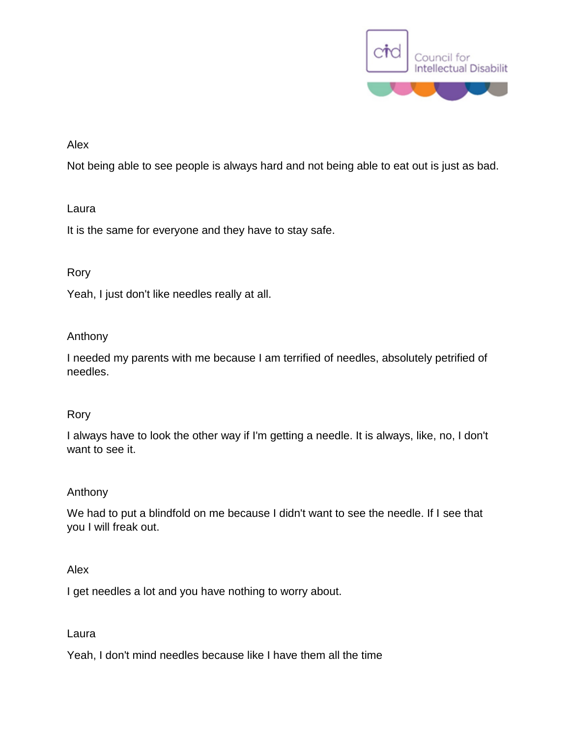

# Alex

Not being able to see people is always hard and not being able to eat out is just as bad.

# Laura

It is the same for everyone and they have to stay safe.

# Rory

Yeah, I just don't like needles really at all.

# Anthony

I needed my parents with me because I am terrified of needles, absolutely petrified of needles.

# Rory

I always have to look the other way if I'm getting a needle. It is always, like, no, I don't want to see it.

# Anthony

We had to put a blindfold on me because I didn't want to see the needle. If I see that you I will freak out.

# Alex

I get needles a lot and you have nothing to worry about.

# Laura

Yeah, I don't mind needles because like I have them all the time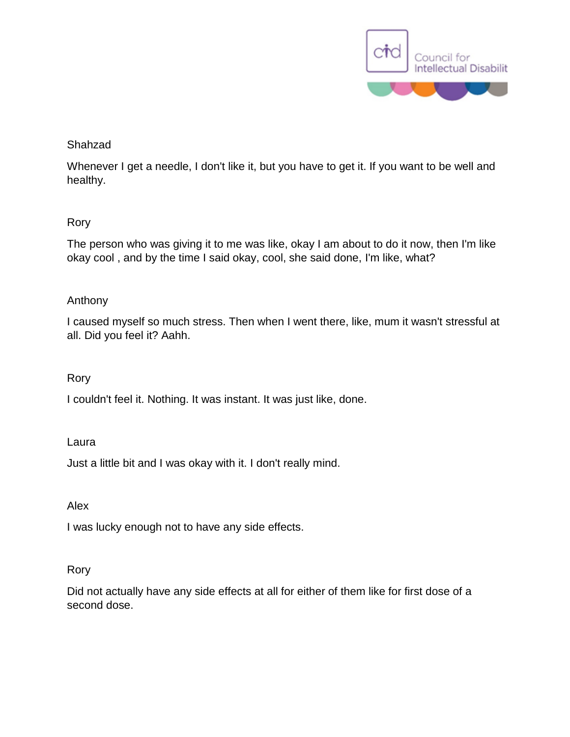

# Shahzad

Whenever I get a needle, I don't like it, but you have to get it. If you want to be well and healthy.

# Rory

The person who was giving it to me was like, okay I am about to do it now, then I'm like okay cool , and by the time I said okay, cool, she said done, I'm like, what?

# Anthony

I caused myself so much stress. Then when I went there, like, mum it wasn't stressful at all. Did you feel it? Aahh.

# Rory

I couldn't feel it. Nothing. It was instant. It was just like, done.

# Laura

Just a little bit and I was okay with it. I don't really mind.

# Alex

I was lucky enough not to have any side effects.

# Rory

Did not actually have any side effects at all for either of them like for first dose of a second dose.